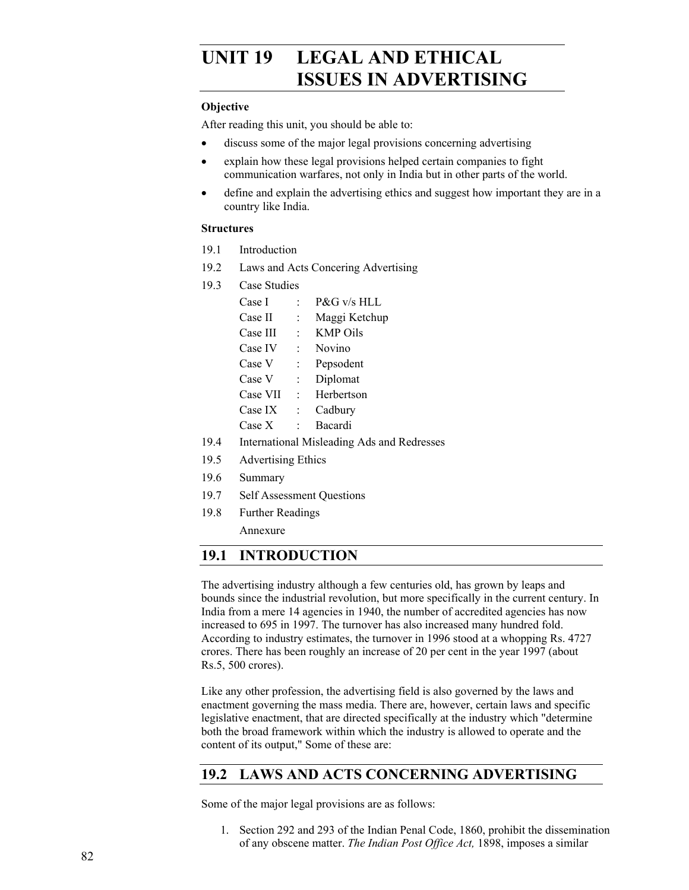# UNIT 19 LEGAL AND ETHICAL **ISSUES IN ADVERTISING**

### **Objective**

After reading this unit, you should be able to:

- discuss some of the major legal provisions concerning advertising
- explain how these legal provisions helped certain companies to fight communication warfares, not only in India but in other parts of the world.
- define and explain the advertising ethics and suggest how important they are in a country like India.

### **Structures**

- 19.1 Introduction
- 19.2 Laws and Acts Concering Advertising
- 19.3 Case Studies

| Case I                           |   | $P\&G$ v/s HLL  |
|----------------------------------|---|-----------------|
| Case II                          |   | Maggi Ketchup   |
| <b>Case III</b>                  |   | <b>KMP Oils</b> |
| Case IV                          |   | Novino          |
| Case V                           |   | Pepsodent       |
| Case V                           | t | Diplomat        |
| Case VII                         |   | Herbertson      |
| Case IX                          |   | Cadbury         |
| Case X                           |   | Bacardi         |
| International Micleading Ade and |   |                 |

- 19.4 International Misleading Ads and Redresses
- 19.5 Advertising Ethics
- 19.6 Summary
- 19.7 Self Assessment Questions
- 19.8 Further Readings

Annexure

# **19.1 INTRODUCTION**

The advertising industry although a few centuries old, has grown by leaps and bounds since the industrial revolution, but more specifically in the current century. In India from a mere 14 agencies in 1940, the number of accredited agencies has now increased to 695 in 1997. The turnover has also increased many hundred fold. According to industry estimates, the turnover in 1996 stood at a whopping Rs. 4727 crores. There has been roughly an increase of 20 per cent in the year 1997 (about Rs.5, 500 crores).

Like any other profession, the advertising field is also governed by the laws and enactment governing the mass media. There are, however, certain laws and specific legislative enactment, that are directed specifically at the industry which "determine both the broad framework within which the industry is allowed to operate and the content of its output," Some of these are:

# **19.2 LAWS AND ACTS CONCERNING ADVERTISING**

Some of the major legal provisions are as follows:

1. Section 292 and 293 of the Indian Penal Code, 1860, prohibit the dissemination of any obscene matter. *The Indian Post Office Act,* 1898, imposes a similar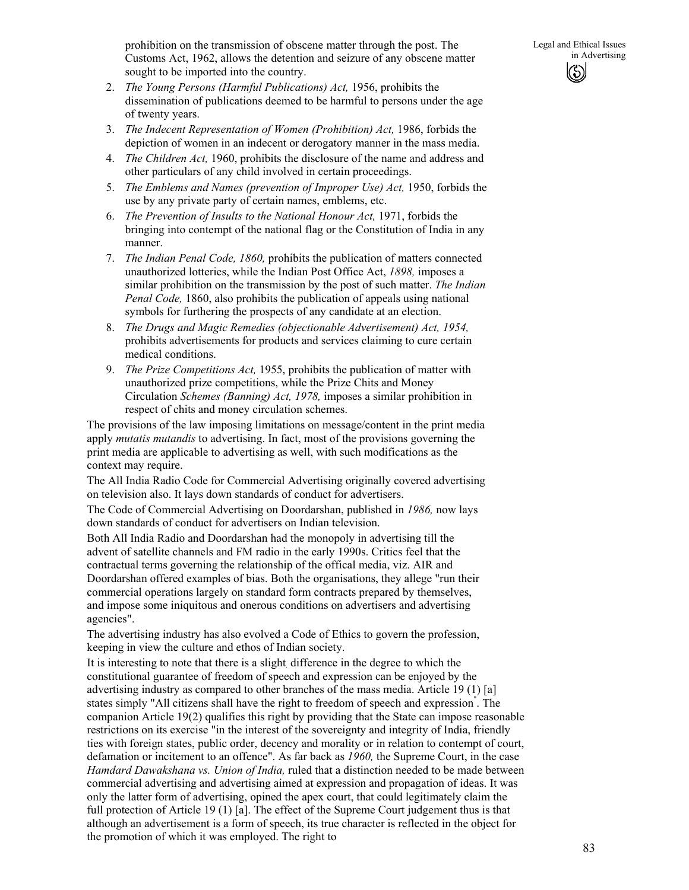- 2. *The Young Persons (Harmful Publications) Act,* 1956, prohibits the dissemination of publications deemed to be harmful to persons under the age of twenty years.
- 3. *The Indecent Representation of Women (Prohibition) Act,* 1986, forbids the depiction of women in an indecent or derogatory manner in the mass media.
- 4. *The Children Act,* 1960, prohibits the disclosure of the name and address and other particulars of any child involved in certain proceedings.
- 5. *The Emblems and Names (prevention of Improper Use) Act,* 1950, forbids the use by any private party of certain names, emblems, etc.
- 6. *The Prevention of Insults to the National Honour Act,* 1971, forbids the bringing into contempt of the national flag or the Constitution of India in any manner.
- 7. *The Indian Penal Code, 1860,* prohibits the publication of matters connected unauthorized lotteries, while the Indian Post Office Act, *1898,* imposes a similar prohibition on the transmission by the post of such matter. *The Indian Penal Code,* 1860, also prohibits the publication of appeals using national symbols for furthering the prospects of any candidate at an election.
- 8. *The Drugs and Magic Remedies (objectionable Advertisement) Act, 1954,*  prohibits advertisements for products and services claiming to cure certain medical conditions.
- 9. *The Prize Competitions Act,* 1955, prohibits the publication of matter with unauthorized prize competitions, while the Prize Chits and Money Circulation *Schemes (Banning) Act, 1978,* imposes a similar prohibition in respect of chits and money circulation schemes.

The provisions of the law imposing limitations on message/content in the print media apply *mutatis mutandis* to advertising. In fact, most of the provisions governing the print media are applicable to advertising as well, with such modifications as the context may require.

The All India Radio Code for Commercial Advertising originally covered advertising on television also. It lays down standards of conduct for advertisers.

The Code of Commercial Advertising on Doordarshan, published in *1986,* now lays down standards of conduct for advertisers on Indian television.

Both All India Radio and Doordarshan had the monopoly in advertising till the advent of satellite channels and FM radio in the early 1990s. Critics feel that the contractual terms governing the relationship of the offical media, viz. AIR and Doordarshan offered examples of bias. Both the organisations, they allege "run their commercial operations largely on standard form contracts prepared by themselves, and impose some iniquitous and onerous conditions on advertisers and advertising agencies".

The advertising industry has also evolved a Code of Ethics to govern the profession, keeping in view the culture and ethos of Indian society.

It is interesting to note that there is a slight difference in the degree to which the constitutional guarantee of freedom of speech and expression can be enjoyed by the advertising industry as compared to other branches of the mass media. Article 19 (1) [a] states simply "All citizens shall have the right to freedom of speech and expression" . The companion Article 19(2) qualifies this right by providing that the State can impose reasonable restrictions on its exercise "in the interest of the sovereignty and integrity of India, friendly ties with foreign states, public order, decency and morality or in relation to contempt of court, defamation or incitement to an offence". As far back as *1960,* the Supreme Court, in the case *Hamdard Dawakshana vs. Union of India,* ruled that a distinction needed to be made between commercial advertising and advertising aimed at expression and propagation of ideas. It was only the latter form of advertising, opined the apex court, that could legitimately claim the full protection of Article 19 (1) [a]. The effect of the Supreme Court judgement thus is that although an advertisement is a form of speech, its true character is reflected in the object for the promotion of which it was employed. The right to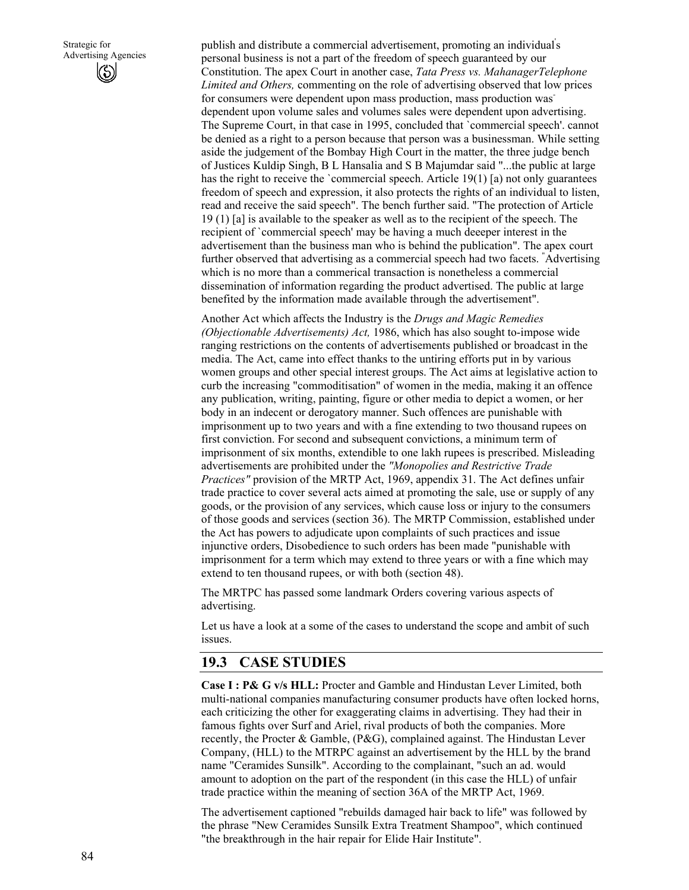publish and distribute a commercial advertisement, promoting an individual' s personal business is not a part of the freedom of speech guaranteed by our Constitution. The apex Court in another case, *Tata Press vs. MahanagerTelephone Limited and Others,* commenting on the role of advertising observed that low prices for consumers were dependent upon mass production, mass production was dependent upon volume sales and volumes sales were dependent upon advertising. The Supreme Court, in that case in 1995, concluded that `commercial speech'. cannot be denied as a right to a person because that person was a businessman. While setting aside the judgement of the Bombay High Court in the matter, the three judge bench of Justices Kuldip Singh, B L Hansalia and S B Majumdar said "...the public at large has the right to receive the `commercial speech. Article 19(1) [a) not only guarantees freedom of speech and expression, it also protects the rights of an individual to listen, read and receive the said speech". The bench further said. "The protection of Article 19 (1) [a] is available to the speaker as well as to the recipient of the speech. The recipient of `commercial speech' may be having a much deeeper interest in the advertisement than the business man who is behind the publication". The apex court further observed that advertising as a commercial speech had two facets. " Advertising which is no more than a commerical transaction is nonetheless a commercial dissemination of information regarding the product advertised. The public at large benefited by the information made available through the advertisement".

Another Act which affects the Industry is the *Drugs and Magic Remedies (Objectionable Advertisements) Act,* 1986, which has also sought to-impose wide ranging restrictions on the contents of advertisements published or broadcast in the media. The Act, came into effect thanks to the untiring efforts put in by various women groups and other special interest groups. The Act aims at legislative action to curb the increasing "commoditisation" of women in the media, making it an offence any publication, writing, painting, figure or other media to depict a women, or her body in an indecent or derogatory manner. Such offences are punishable with imprisonment up to two years and with a fine extending to two thousand rupees on first conviction. For second and subsequent convictions, a minimum term of imprisonment of six months, extendible to one lakh rupees is prescribed. Misleading advertisements are prohibited under the *"Monopolies and Restrictive Trade Practices"* provision of the MRTP Act, 1969, appendix 31. The Act defines unfair trade practice to cover several acts aimed at promoting the sale, use or supply of any goods, or the provision of any services, which cause loss or injury to the consumers of those goods and services (section 36). The MRTP Commission, established under the Act has powers to adjudicate upon complaints of such practices and issue injunctive orders, Disobedience to such orders has been made "punishable with imprisonment for a term which may extend to three years or with a fine which may extend to ten thousand rupees, or with both (section 48).

The MRTPC has passed some landmark Orders covering various aspects of advertising.

Let us have a look at a some of the cases to understand the scope and ambit of such issues.

# **19.3 CASE STUDIES**

**Case I : P& G v/s HLL:** Procter and Gamble and Hindustan Lever Limited, both multi-national companies manufacturing consumer products have often locked horns, each criticizing the other for exaggerating claims in advertising. They had their in famous fights over Surf and Ariel, rival products of both the companies. More recently, the Procter & Gamble, (P&G), complained against. The Hindustan Lever Company, (HLL) to the MTRPC against an advertisement by the HLL by the brand name "Ceramides Sunsilk". According to the complainant, "such an ad. would amount to adoption on the part of the respondent (in this case the HLL) of unfair trade practice within the meaning of section 36A of the MRTP Act, 1969.

The advertisement captioned "rebuilds damaged hair back to life" was followed by the phrase "New Ceramides Sunsilk Extra Treatment Shampoo", which continued "the breakthrough in the hair repair for Elide Hair Institute".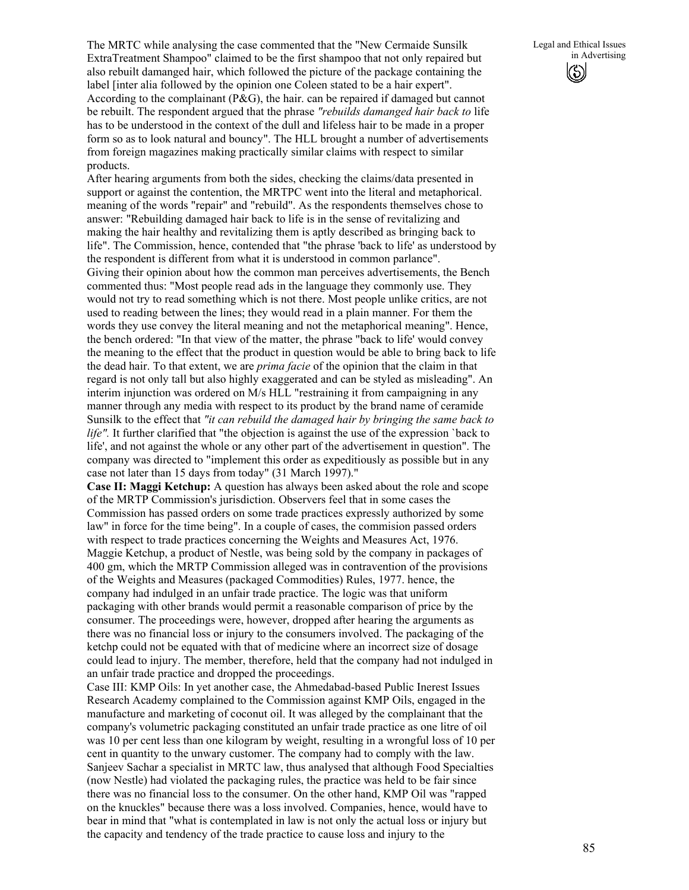The MRTC while analysing the case commented that the "New Cermaide Sunsilk ExtraTreatment Shampoo" claimed to be the first shampoo that not only repaired but also rebuilt damanged hair, which followed the picture of the package containing the label [inter alia followed by the opinion one Coleen stated to be a hair expert". According to the complainant (P&G), the hair. can be repaired if damaged but cannot be rebuilt. The respondent argued that the phrase *"rebuilds damanged hair back to* life has to be understood in the context of the dull and lifeless hair to be made in a proper form so as to look natural and bouncy". The HLL brought a number of advertisements from foreign magazines making practically similar claims with respect to similar products.

After hearing arguments from both the sides, checking the claims/data presented in support or against the contention, the MRTPC went into the literal and metaphorical. meaning of the words "repair" and "rebuild". As the respondents themselves chose to answer: "Rebuilding damaged hair back to life is in the sense of revitalizing and making the hair healthy and revitalizing them is aptly described as bringing back to life". The Commission, hence, contended that "the phrase 'back to life' as understood by the respondent is different from what it is understood in common parlance". Giving their opinion about how the common man perceives advertisements, the Bench commented thus: "Most people read ads in the language they commonly use. They would not try to read something which is not there. Most people unlike critics, are not used to reading between the lines; they would read in a plain manner. For them the words they use convey the literal meaning and not the metaphorical meaning". Hence, the bench ordered: "In that view of the matter, the phrase "back to life' would convey the meaning to the effect that the product in question would be able to bring back to life the dead hair. To that extent, we are *prima facie* of the opinion that the claim in that regard is not only tall but also highly exaggerated and can be styled as misleading". An interim injunction was ordered on M/s HLL "restraining it from campaigning in any manner through any media with respect to its product by the brand name of ceramide Sunsilk to the effect that *"it can rebuild the damaged hair by bringing the same back to life".* It further clarified that "the objection is against the use of the expression `back to life', and not against the whole or any other part of the advertisement in question". The company was directed to "implement this order as expeditiously as possible but in any case not later than 15 days from today" (31 March 1997)."

**Case II: Maggi Ketchup:** A question has always been asked about the role and scope of the MRTP Commission's jurisdiction. Observers feel that in some cases the Commission has passed orders on some trade practices expressly authorized by some law" in force for the time being". In a couple of cases, the commision passed orders with respect to trade practices concerning the Weights and Measures Act, 1976. Maggie Ketchup, a product of Nestle, was being sold by the company in packages of 400 gm, which the MRTP Commission alleged was in contravention of the provisions of the Weights and Measures (packaged Commodities) Rules, 1977. hence, the company had indulged in an unfair trade practice. The logic was that uniform packaging with other brands would permit a reasonable comparison of price by the consumer. The proceedings were, however, dropped after hearing the arguments as there was no financial loss or injury to the consumers involved. The packaging of the ketchp could not be equated with that of medicine where an incorrect size of dosage could lead to injury. The member, therefore, held that the company had not indulged in an unfair trade practice and dropped the proceedings.

Case III: KMP Oils: In yet another case, the Ahmedabad-based Public Inerest Issues Research Academy complained to the Commission against KMP Oils, engaged in the manufacture and marketing of coconut oil. It was alleged by the complainant that the company's volumetric packaging constituted an unfair trade practice as one litre of oil was 10 per cent less than one kilogram by weight, resulting in a wrongful loss of 10 per cent in quantity to the unwary customer. The company had to comply with the law. Sanjeev Sachar a specialist in MRTC law, thus analysed that although Food Specialties (now Nestle) had violated the packaging rules, the practice was held to be fair since there was no financial loss to the consumer. On the other hand, KMP Oil was "rapped on the knuckles" because there was a loss involved. Companies, hence, would have to bear in mind that "what is contemplated in law is not only the actual loss or injury but the capacity and tendency of the trade practice to cause loss and injury to the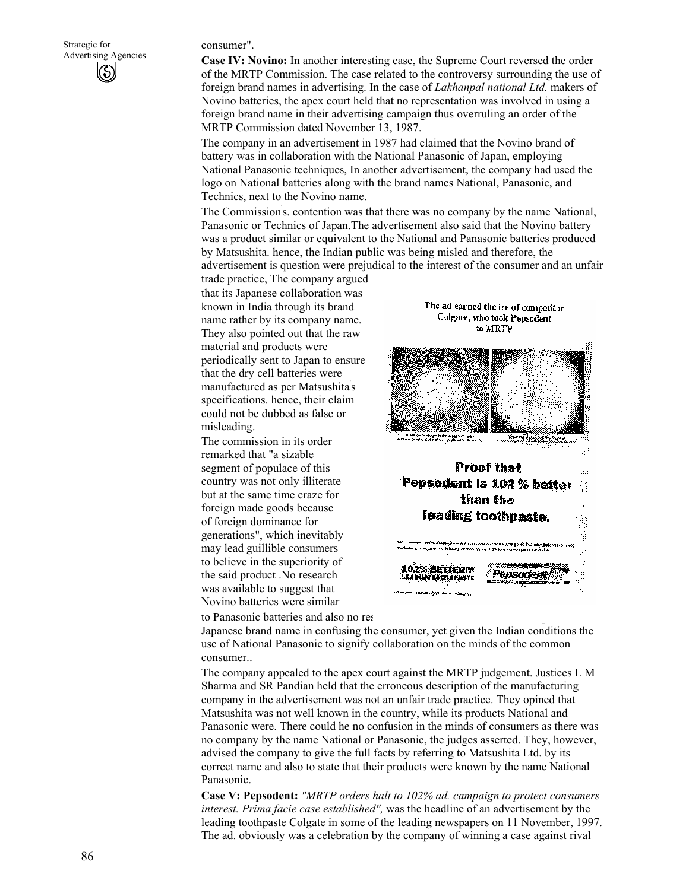consumer".

**Case IV: Novino:** In another interesting case, the Supreme Court reversed the order of the MRTP Commission. The case related to the controversy surrounding the use of foreign brand names in advertising. In the case of *Lakhanpal national Ltd.* makers of Novino batteries, the apex court held that no representation was involved in using a foreign brand name in their advertising campaign thus overruling an order of the MRTP Commission dated November 13, 1987.

The company in an advertisement in 1987 had claimed that the Novino brand of battery was in collaboration with the National Panasonic of Japan, employing National Panasonic techniques, In another advertisement, the company had used the logo on National batteries along with the brand names National, Panasonic, and Technics, next to the Novino name.

The Commission' s. contention was that there was no company by the name National, Panasonic or Technics of Japan.The advertisement also said that the Novino battery was a product similar or equivalent to the National and Panasonic batteries produced by Matsushita. hence, the Indian public was being misled and therefore, the advertisement is question were prejudical to the interest of the consumer and an unfair

trade practice, The company argued that its Japanese collaboration was known in India through its brand name rather by its company name. They also pointed out that the raw material and products were periodically sent to Japan to ensure that the dry cell batteries were manufactured as per Matsushita' s specifications. hence, their claim could not be dubbed as false or misleading.

The commission in its order remarked that "a sizable segment of populace of this country was not only illiterate but at the same time craze for foreign made goods because of foreign dominance for generations", which inevitably may lead guillible consumers to believe in the superiority of the said product .No research was available to suggest that Novino batteries were similar

to Panasonic batteries and also no res

The ad earned the ire of competitor Colgate, who took Pepsodent to MRTP



Japanese brand name in confusing the consumer, yet given the Indian conditions the use of National Panasonic to signify collaboration on the minds of the common consumer..

The company appealed to the apex court against the MRTP judgement. Justices L M Sharma and SR Pandian held that the erroneous description of the manufacturing company in the advertisement was not an unfair trade practice. They opined that Matsushita was not well known in the country, while its products National and Panasonic were. There could he no confusion in the minds of consumers as there was no company by the name National or Panasonic, the judges asserted. They, however, advised the company to give the full facts by referring to Matsushita Ltd. by its correct name and also to state that their products were known by the name National Panasonic.

**Case V: Pepsodent:** *"MRTP orders halt to 102% ad. campaign to protect consumers interest. Prima facie case established",* was the headline of an advertisement by the leading toothpaste Colgate in some of the leading newspapers on 11 November, 1997. The ad. obviously was a celebration by the company of winning a case against rival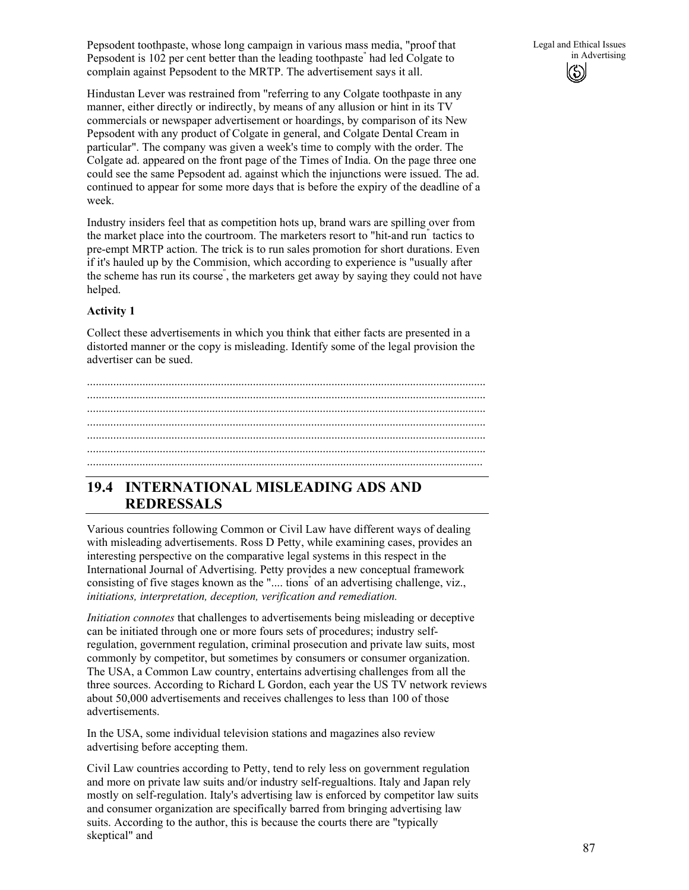Pepsodent toothpaste, whose long campaign in various mass media, "proof that Pepsodent is 102 per cent better than the leading toothpaste" had led Colgate to complain against Pepsodent to the MRTP. The advertisement says it all.

Hindustan Lever was restrained from "referring to any Colgate toothpaste in any manner, either directly or indirectly, by means of any allusion or hint in its TV commercials or newspaper advertisement or hoardings, by comparison of its New Pepsodent with any product of Colgate in general, and Colgate Dental Cream in particular". The company was given a week's time to comply with the order. The Colgate ad. appeared on the front page of the Times of India. On the page three one could see the same Pepsodent ad. against which the injunctions were issued. The ad. continued to appear for some more days that is before the expiry of the deadline of a week.

Industry insiders feel that as competition hots up, brand wars are spilling over from the market place into the courtroom. The marketers resort to "hit-and run" tactics to pre-empt MRTP action. The trick is to run sales promotion for short durations. Even if it's hauled up by the Commision, which according to experience is "usually after the scheme has run its course" , the marketers get away by saying they could not have helped.

### **Activity 1**

Collect these advertisements in which you think that either facts are presented in a distorted manner or the copy is misleading. Identify some of the legal provision the advertiser can be sued.

......................................................................................................................................... ......................................................................................................................................... ......................................................................................................................................... ......................................................................................................................................... ......................................................................................................................................... ......................................................................................................................................... ........................................................................................................................................

# **19.4 INTERNATIONAL MISLEADING ADS AND REDRESSALS**

Various countries following Common or Civil Law have different ways of dealing with misleading advertisements. Ross D Petty, while examining cases, provides an interesting perspective on the comparative legal systems in this respect in the International Journal of Advertising. Petty provides a new conceptual framework consisting of five stages known as the ".... tions" of an advertising challenge, viz., *initiations, interpretation, deception, verification and remediation.* 

*Initiation connotes* that challenges to advertisements being misleading or deceptive can be initiated through one or more fours sets of procedures; industry selfregulation, government regulation, criminal prosecution and private law suits, most commonly by competitor, but sometimes by consumers or consumer organization. The USA, a Common Law country, entertains advertising challenges from all the three sources. According to Richard L Gordon, each year the US TV network reviews about 50,000 advertisements and receives challenges to less than 100 of those advertisements.

In the USA, some individual television stations and magazines also review advertising before accepting them.

Civil Law countries according to Petty, tend to rely less on government regulation and more on private law suits and/or industry self-regualtions. Italy and Japan rely mostly on self-regulation. Italy's advertising law is enforced by competitor law suits and consumer organization are specifically barred from bringing advertising law suits. According to the author, this is because the courts there are "typically skeptical" and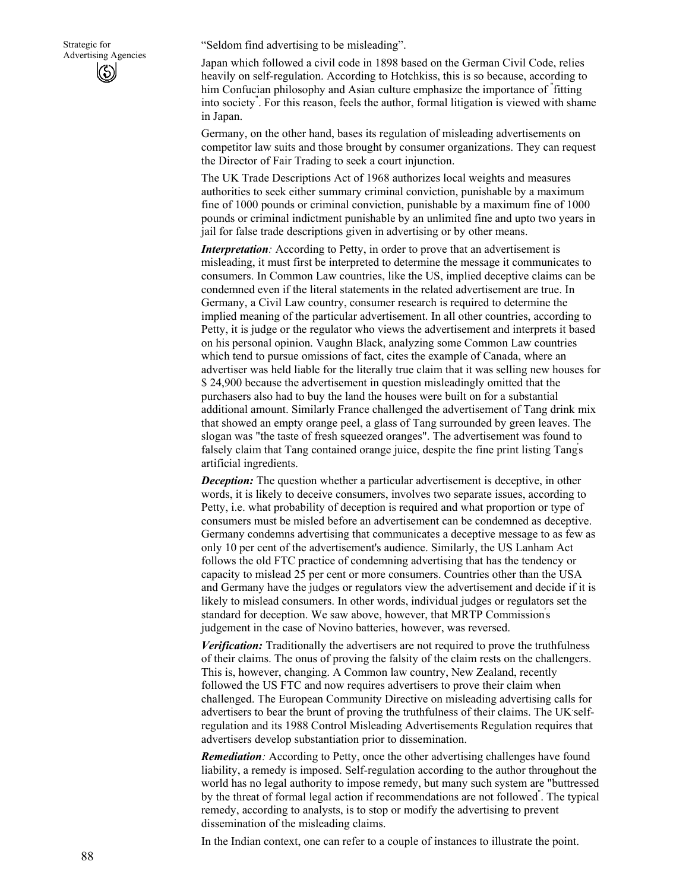"Seldom find advertising to be misleading".

Japan which followed a civil code in 1898 based on the German Civil Code, relies heavily on self-regulation. According to Hotchkiss, this is so because, according to him Confucian philosophy and Asian culture emphasize the importance of " fitting into society" . For this reason, feels the author, formal litigation is viewed with shame in Japan.

Germany, on the other hand, bases its regulation of misleading advertisements on competitor law suits and those brought by consumer organizations. They can request the Director of Fair Trading to seek a court injunction.

The UK Trade Descriptions Act of 1968 authorizes local weights and measures authorities to seek either summary criminal conviction, punishable by a maximum fine of 1000 pounds or criminal conviction, punishable by a maximum fine of 1000 pounds or criminal indictment punishable by an unlimited fine and upto two years in jail for false trade descriptions given in advertising or by other means.

*Interpretation:* According to Petty, in order to prove that an advertisement is misleading, it must first be interpreted to determine the message it communicates to consumers. In Common Law countries, like the US, implied deceptive claims can be condemned even if the literal statements in the related advertisement are true. In Germany, a Civil Law country, consumer research is required to determine the implied meaning of the particular advertisement. In all other countries, according to Petty, it is judge or the regulator who views the advertisement and interprets it based on his personal opinion. Vaughn Black, analyzing some Common Law countries which tend to pursue omissions of fact, cites the example of Canada, where an advertiser was held liable for the literally true claim that it was selling new houses for \$ 24,900 because the advertisement in question misleadingly omitted that the purchasers also had to buy the land the houses were built on for a substantial additional amount. Similarly France challenged the advertisement of Tang drink mix that showed an empty orange peel, a glass of Tang surrounded by green leaves. The slogan was "the taste of fresh squeezed oranges". The advertisement was found to falsely claim that Tang contained orange juice, despite the fine print listing Tang's artificial ingredients.

*Deception:* The question whether a particular advertisement is deceptive, in other words, it is likely to deceive consumers, involves two separate issues, according to Petty, i.e. what probability of deception is required and what proportion or type of consumers must be misled before an advertisement can be condemned as deceptive. Germany condemns advertising that communicates a deceptive message to as few as only 10 per cent of the advertisement's audience. Similarly, the US Lanham Act follows the old FTC practice of condemning advertising that has the tendency or capacity to mislead 25 per cent or more consumers. Countries other than the USA and Germany have the judges or regulators view the advertisement and decide if it is likely to mislead consumers. In other words, individual judges or regulators set the standard for deception. We saw above, however, that MRTP Commission' s judgement in the case of Novino batteries, however, was reversed.

*Verification:* Traditionally the advertisers are not required to prove the truthfulness of their claims. The onus of proving the falsity of the claim rests on the challengers. This is, however, changing. A Common law country, New Zealand, recently followed the US FTC and now requires advertisers to prove their claim when challenged. The European Community Directive on misleading advertising calls for advertisers to bear the brunt of proving the truthfulness of their claims. The UK. selfregulation and its 1988 Control Misleading Advertisements Regulation requires that advertisers develop substantiation prior to dissemination.

*Remediation:* According to Petty, once the other advertising challenges have found liability, a remedy is imposed. Self-regulation according to the author throughout the world has no legal authority to impose remedy, but many such system are "buttressed by the threat of formal legal action if recommendations are not followed" . The typical remedy, according to analysts, is to stop or modify the advertising to prevent dissemination of the misleading claims.

In the Indian context, one can refer to a couple of instances to illustrate the point.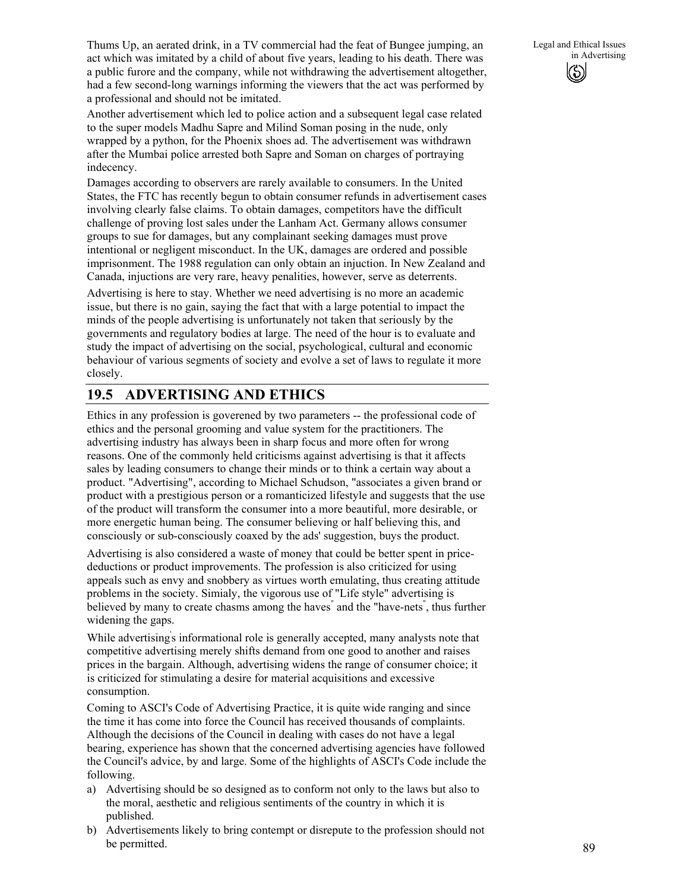Thums Up, an aerated drink, in a TV commercial had the feat of Bungee jumping, an act which was imitated by a child of about five years, leading to his death. There was a public furore and the company, while not withdrawing the advertisement altogether, had a few second-long warnings informing the viewers that the act was performed by a professional and should not be imitated.

Another advertisement which led to police action and a subsequent legal case related to the super models Madhu Sapre and Milind Soman posing in the nude, only wrapped by a python, for the Phoenix shoes ad. The advertisement was withdrawn after the Mumbai police arrested both Sapre and Soman on charges of portraying indecency.

Damages according to observers are rarely available to consumers. In the United States, the FTC has recently begun to obtain consumer refunds in advertisement cases involving clearly false claims. To obtain damages, competitors have the difficult challenge of proving lost sales under the Lanham Act. Germany allows consumer groups to sue for damages, but any complainant seeking damages must prove intentional or negligent misconduct. In the UK, damages are ordered and possible imprisonment. The 1988 regulation can only obtain an injuction. In New Zealand and Canada, injuctions are very rare, heavy penalities, however, serve as deterrents.

Advertising is here to stay. Whether we need advertising is no more an academic issue, but there is no gain, saying the fact that with a large potential to impact the minds of the people advertising is unfortunately not taken that seriously by the governments and regulatory bodies at large. The need of the hour is to evaluate and study the impact of advertising on the social, psychological, cultural and economic behaviour of various segments of society and evolve a set of laws to regulate it more closely.

# **19.5 ADVERTISING AND ETHICS**

Ethics in any profession is goverened by two parameters -- the professional code of ethics and the personal grooming and value system for the practitioners. The advertising industry has always been in sharp focus and more often for wrong reasons. One of the commonly held criticisms against advertising is that it affects sales by leading consumers to change their minds or to think a certain way about a product. "Advertising", according to Michael Schudson, "associates a given brand or product with a prestigious person or a romanticized lifestyle and suggests that the use of the product will transform the consumer into a more beautiful, more desirable, or more energetic human being. The consumer believing or half believing this, and consciously or sub-consciously coaxed by the ads' suggestion, buys the product.

Advertising is also considered a waste of money that could be better spent in pricedeductions or product improvements. The profession is also criticized for using appeals such as envy and snobbery as virtues worth emulating, thus creating attitude problems in the society. Simialy, the vigorous use of "Life style" advertising is believed by many to create chasms among the haves" and the "have-nets", thus further widening the gaps.

While advertising' s informational role is generally accepted, many analysts note that competitive advertising merely shifts demand from one good to another and raises prices in the bargain. Although, advertising widens the range of consumer choice; it is criticized for stimulating a desire for material acquisitions and excessive consumption.

Coming to ASCI's Code of Advertising Practice, it is quite wide ranging and since the time it has come into force the Council has received thousands of complaints. Although the decisions of the Council in dealing with cases do not have a legal bearing, experience has shown that the concerned advertising agencies have followed the Council's advice, by and large. Some of the highlights of ASCI's Code include the following.

- a) Advertising should be so designed as to conform not only to the laws but also to the moral, aesthetic and religious sentiments of the country in which it is published.
- b) Advertisements likely to bring contempt or disrepute to the profession should not be permitted.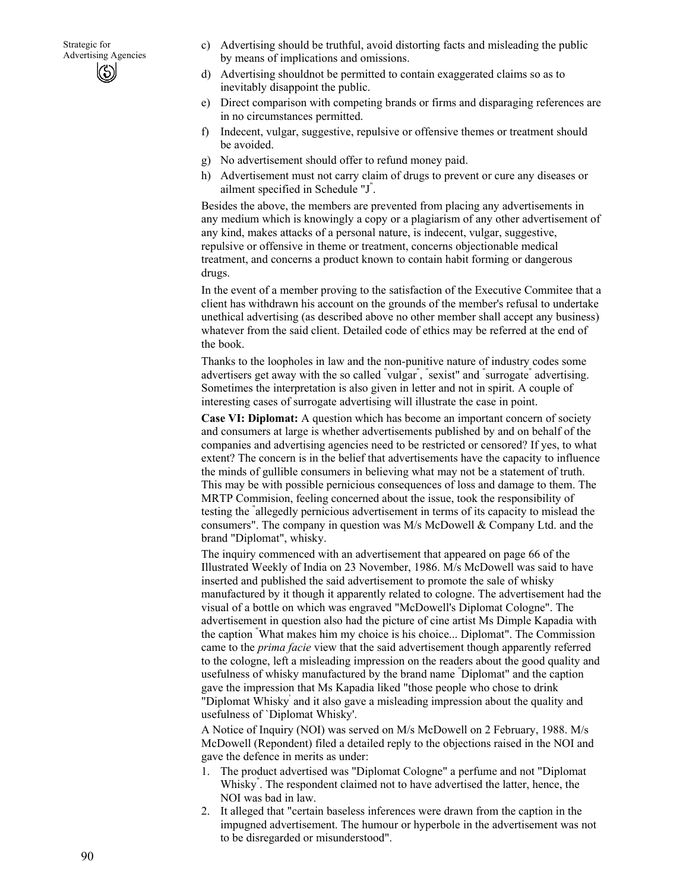- c) Advertising should be truthful, avoid distorting facts and misleading the public by means of implications and omissions.
- d) Advertising shouldnot be permitted to contain exaggerated claims so as to inevitably disappoint the public.
- e) Direct comparison with competing brands or firms and disparaging references are in no circumstances permitted.
- f) Indecent, vulgar, suggestive, repulsive or offensive themes or treatment should be avoided.
- g) No advertisement should offer to refund money paid.
- h) Advertisement must not carry claim of drugs to prevent or cure any diseases or ailment specified in Schedule "J" .

Besides the above, the members are prevented from placing any advertisements in any medium which is knowingly a copy or a plagiarism of any other advertisement of any kind, makes attacks of a personal nature, is indecent, vulgar, suggestive, repulsive or offensive in theme or treatment, concerns objectionable medical treatment, and concerns a product known to contain habit forming or dangerous drugs.

In the event of a member proving to the satisfaction of the Executive Commitee that a client has withdrawn his account on the grounds of the member's refusal to undertake unethical advertising (as described above no other member shall accept any business) whatever from the said client. Detailed code of ethics may be referred at the end of the book.

Thanks to the loopholes in law and the non-punitive nature of industry codes some advertisers get away with the so called "vulgar", "sexist" and "surrogate" advertising. Sometimes the interpretation is also given in letter and not in spirit. A couple of interesting cases of surrogate advertising will illustrate the case in point.

**Case VI: Diplomat:** A question which has become an important concern of society and consumers at large is whether advertisements published by and on behalf of the companies and advertising agencies need to be restricted or censored? If yes, to what extent? The concern is in the belief that advertisements have the capacity to influence the minds of gullible consumers in believing what may not be a statement of truth. This may be with possible pernicious consequences of loss and damage to them. The MRTP Commision, feeling concerned about the issue, took the responsibility of testing the " allegedly pernicious advertisement in terms of its capacity to mislead the consumers". The company in question was M/s McDowell & Company Ltd. and the brand "Diplomat", whisky.

The inquiry commenced with an advertisement that appeared on page 66 of the Illustrated Weekly of India on 23 November, 1986. M/s McDowell was said to have inserted and published the said advertisement to promote the sale of whisky manufactured by it though it apparently related to cologne. The advertisement had the visual of a bottle on which was engraved "McDowell's Diplomat Cologne". The advertisement in question also had the picture of cine artist Ms Dimple Kapadia with the caption " What makes him my choice is his choice... Diplomat". The Commission came to the *prima facie* view that the said advertisement though apparently referred to the cologne, left a misleading impression on the readers about the good quality and usefulness of whisky manufactured by the brand name " Diplomat" and the caption gave the impression that Ms Kapadia liked "those people who chose to drink "Diplomat Whisky' and it also gave a misleading impression about the quality and usefulness of `Diplomat Whisky'.

A Notice of Inquiry (NOI) was served on M/s McDowell on 2 February, 1988. M/s McDowell (Repondent) filed a detailed reply to the objections raised in the NOI and gave the defence in merits as under:

- 1. The product advertised was "Diplomat Cologne" a perfume and not "Diplomat Whisky" . The respondent claimed not to have advertised the latter, hence, the NOI was bad in law.
- 2. It alleged that "certain baseless inferences were drawn from the caption in the impugned advertisement. The humour or hyperbole in the advertisement was not to be disregarded or misunderstood".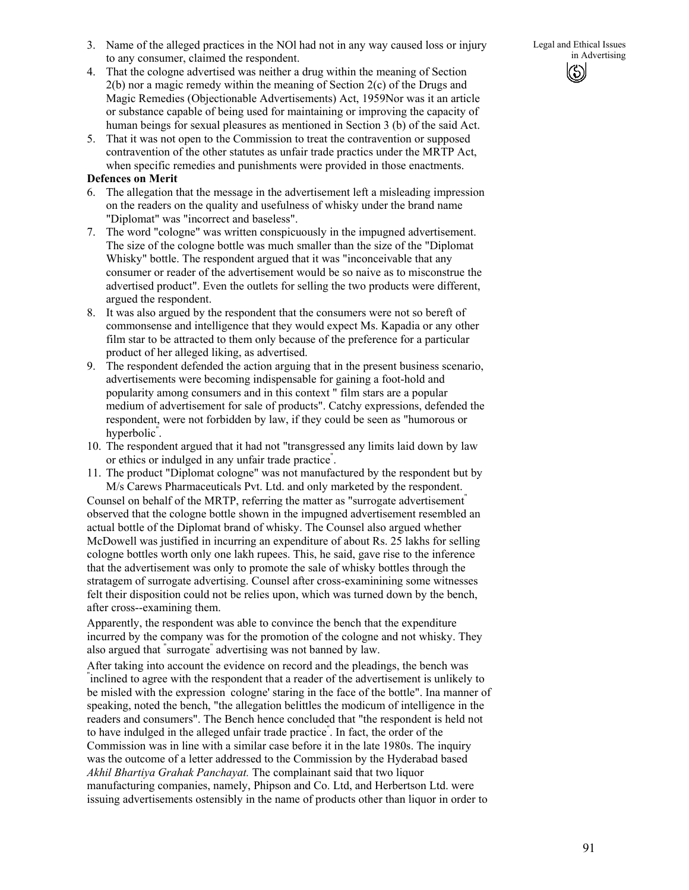91

Legal and Ethical Issues in Advertising

- 3. Name of the alleged practices in the NOl had not in any way caused loss or injury to any consumer, claimed the respondent.
- 4. That the cologne advertised was neither a drug within the meaning of Section 2(b) nor a magic remedy within the meaning of Section 2(c) of the Drugs and Magic Remedies (Objectionable Advertisements) Act, 1959Nor was it an article or substance capable of being used for maintaining or improving the capacity of human beings for sexual pleasures as mentioned in Section 3 (b) of the said Act.
- 5. That it was not open to the Commission to treat the contravention or supposed contravention of the other statutes as unfair trade practics under the MRTP Act, when specific remedies and punishments were provided in those enactments.

### **Defences on Merit**

- 6. The allegation that the message in the advertisement left a misleading impression on the readers on the quality and usefulness of whisky under the brand name "Diplomat" was "incorrect and baseless".
- 7. The word "cologne" was written conspicuously in the impugned advertisement. The size of the cologne bottle was much smaller than the size of the "Diplomat Whisky" bottle. The respondent argued that it was "inconceivable that any consumer or reader of the advertisement would be so naive as to misconstrue the advertised product". Even the outlets for selling the two products were different, argued the respondent.
- 8. It was also argued by the respondent that the consumers were not so bereft of commonsense and intelligence that they would expect Ms. Kapadia or any other film star to be attracted to them only because of the preference for a particular product of her alleged liking, as advertised.
- 9. The respondent defended the action arguing that in the present business scenario, advertisements were becoming indispensable for gaining a foot-hold and popularity among consumers and in this context " film stars are a popular medium of advertisement for sale of products". Catchy expressions, defended the respondent, were not forbidden by law, if they could be seen as "humorous or hyperbolic" .
- 10. The respondent argued that it had not "transgressed any limits laid down by law or ethics or indulged in any unfair trade practice" .
- 11. The product "Diplomat cologne" was not manufactured by the respondent but by M/s Carews Pharmaceuticals Pvt. Ltd. and only marketed by the respondent.

Counsel on behalf of the MRTP, referring the matter as "surrogate advertisement" observed that the cologne bottle shown in the impugned advertisement resembled an actual bottle of the Diplomat brand of whisky. The Counsel also argued whether McDowell was justified in incurring an expenditure of about Rs. 25 lakhs for selling cologne bottles worth only one lakh rupees. This, he said, gave rise to the inference that the advertisement was only to promote the sale of whisky bottles through the stratagem of surrogate advertising. Counsel after cross-examinining some witnesses felt their disposition could not be relies upon, which was turned down by the bench, after cross--examining them.

Apparently, the respondent was able to convince the bench that the expenditure incurred by the company was for the promotion of the cologne and not whisky. They also argued that " surrogate" advertising was not banned by law.

After taking into account the evidence on record and the pleadings, the bench was " inclined to agree with the respondent that a reader of the advertisement is unlikely to be misled with the expression ` cologne' staring in the face of the bottle". Ina manner of speaking, noted the bench, "the allegation belittles the modicum of intelligence in the readers and consumers". The Bench hence concluded that "the respondent is held not to have indulged in the alleged unfair trade practice" . In fact, the order of the Commission was in line with a similar case before it in the late 1980s. The inquiry was the outcome of a letter addressed to the Commission by the Hyderabad based *Akhil Bhartiya Grahak Panchayat.* The complainant said that two liquor manufacturing companies, namely, Phipson and Co. Ltd, and Herbertson Ltd. were issuing advertisements ostensibly in the name of products other than liquor in order to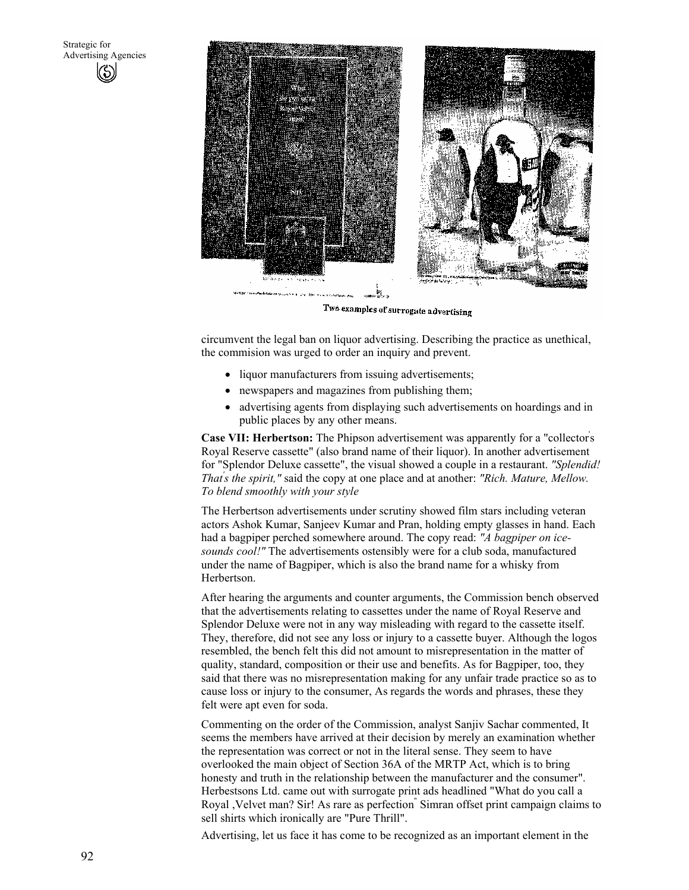

Two examples of surrogate advertising

circumvent the legal ban on liquor advertising. Describing the practice as unethical, the commision was urged to order an inquiry and prevent.

- liquor manufacturers from issuing advertisements;
- newspapers and magazines from publishing them;
- advertising agents from displaying such advertisements on hoardings and in public places by any other means.

**Case VII: Herbertson:** The Phipson advertisement was apparently for a "collector' s Royal Reserve cassette" (also brand name of their liquor). In another advertisement for "Splendor Deluxe cassette", the visual showed a couple in a restaurant. *"Splendid! That' s the spirit,"* said the copy at one place and at another: *"Rich. Mature, Mellow. To blend smoothly with your style* 

The Herbertson advertisements under scrutiny showed film stars including veteran actors Ashok Kumar, Sanjeev Kumar and Pran, holding empty glasses in hand. Each had a bagpiper perched somewhere around. The copy read: *"A bagpiper on icesounds cool!"* The advertisements ostensibly were for a club soda, manufactured under the name of Bagpiper, which is also the brand name for a whisky from Herbertson.

After hearing the arguments and counter arguments, the Commission bench observed that the advertisements relating to cassettes under the name of Royal Reserve and Splendor Deluxe were not in any way misleading with regard to the cassette itself. They, therefore, did not see any loss or injury to a cassette buyer. Although the logos resembled, the bench felt this did not amount to misrepresentation in the matter of quality, standard, composition or their use and benefits. As for Bagpiper, too, they said that there was no misrepresentation making for any unfair trade practice so as to cause loss or injury to the consumer, As regards the words and phrases, these they felt were apt even for soda.

Commenting on the order of the Commission, analyst Sanjiv Sachar commented, It seems the members have arrived at their decision by merely an examination whether the representation was correct or not in the literal sense. They seem to have overlooked the main object of Section 36A of the MRTP Act, which is to bring honesty and truth in the relationship between the manufacturer and the consumer". Herbestsons Ltd. came out with surrogate print ads headlined "What do you call a Royal ,Velvet man? Sir! As rare as perfection" Simran offset print campaign claims to sell shirts which ironically are "Pure Thrill".

Advertising, let us face it has come to be recognized as an important element in the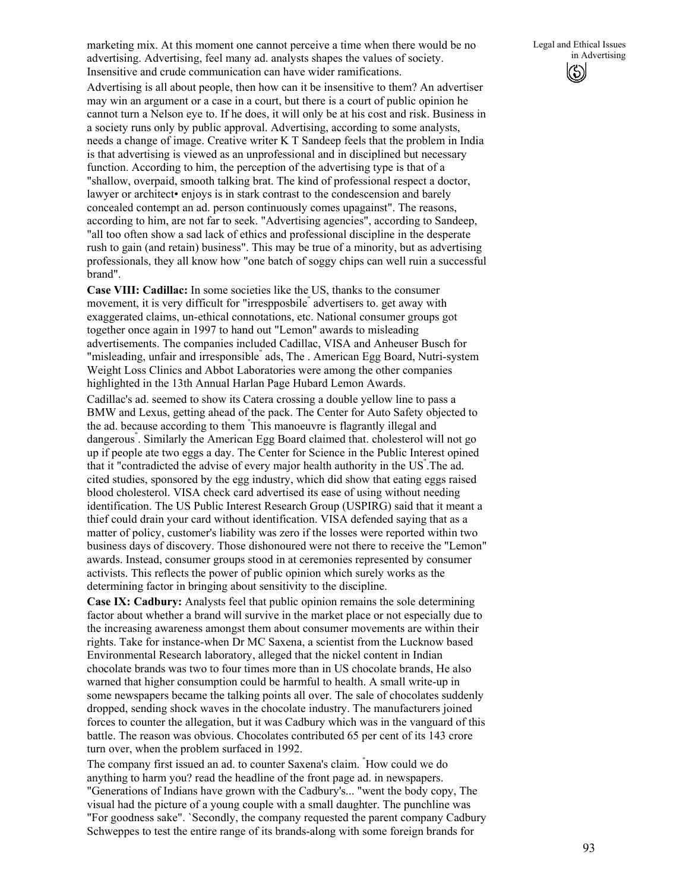marketing mix. At this moment one cannot perceive a time when there would be no advertising. Advertising, feel many ad. analysts shapes the values of society. Insensitive and crude communication can have wider ramifications.

Advertising is all about people, then how can it be insensitive to them? An advertiser may win an argument or a case in a court, but there is a court of public opinion he cannot turn a Nelson eye to. If he does, it will only be at his cost and risk. Business in a society runs only by public approval. Advertising, according to some analysts, needs a change of image. Creative writer K T Sandeep feels that the problem in India is that advertising is viewed as an unprofessional and in disciplined but necessary function. According to him, the perception of the advertising type is that of a "shallow, overpaid, smooth talking brat. The kind of professional respect a doctor, lawyer or architect• enjoys is in stark contrast to the condescension and barely concealed contempt an ad. person continuously comes upagainst". The reasons, according to him, are not far to seek. "Advertising agencies", according to Sandeep, "all too often show a sad lack of ethics and professional discipline in the desperate rush to gain (and retain) business". This may be true of a minority, but as advertising professionals, they all know how "one batch of soggy chips can well ruin a successful brand".

**Case VIII: Cadillac:** In some societies like the US, thanks to the consumer movement, it is very difficult for "irrespposbile" advertisers to. get away with exaggerated claims, un-ethical connotations, etc. National consumer groups got together once again in 1997 to hand out "Lemon" awards to misleading advertisements. The companies included Cadillac, VISA and Anheuser Busch for "misleading, unfair and irresponsible" ads, The . American Egg Board, Nutri-system Weight Loss Clinics and Abbot Laboratories were among the other companies highlighted in the 13th Annual Harlan Page Hubard Lemon Awards. Cadillac's ad. seemed to show its Catera crossing a double yellow line to pass a BMW and Lexus, getting ahead of the pack. The Center for Auto Safety objected to the ad. because according to them " This manoeuvre is flagrantly illegal and dangerous" . Similarly the American Egg Board claimed that. cholesterol will not go up if people ate two eggs a day. The Center for Science in the Public Interest opined that it "contradicted the advise of every major health authority in the US" .The ad. cited studies, sponsored by the egg industry, which did show that eating eggs raised blood cholesterol. VISA check card advertised its ease of using without needing identification. The US Public Interest Research Group (USPIRG) said that it meant a thief could drain your card without identification. VISA defended saying that as a matter of policy, customer's liability was zero if the losses were reported within two business days of discovery. Those dishonoured were not there to receive the "Lemon" awards. Instead, consumer groups stood in at ceremonies represented by consumer activists. This reflects the power of public opinion which surely works as the determining factor in bringing about sensitivity to the discipline.

**Case IX: Cadbury:** Analysts feel that public opinion remains the sole determining factor about whether a brand will survive in the market place or not especially due to the increasing awareness amongst them about consumer movements are within their rights. Take for instance-when Dr MC Saxena, a scientist from the Lucknow based Environmental Research laboratory, alleged that the nickel content in Indian chocolate brands was two to four times more than in US chocolate brands, He also warned that higher consumption could be harmful to health. A small write-up in some newspapers became the talking points all over. The sale of chocolates suddenly dropped, sending shock waves in the chocolate industry. The manufacturers joined forces to counter the allegation, but it was Cadbury which was in the vanguard of this battle. The reason was obvious. Chocolates contributed 65 per cent of its 143 crore turn over, when the problem surfaced in 1992.

The company first issued an ad. to counter Saxena's claim. " How could we do anything to harm you? read the headline of the front page ad. in newspapers. "Generations of Indians have grown with the Cadbury's... "went the body copy, The visual had the picture of a young couple with a small daughter. The punchline was "For goodness sake". `Secondly, the company requested the parent company Cadbury Schweppes to test the entire range of its brands-along with some foreign brands for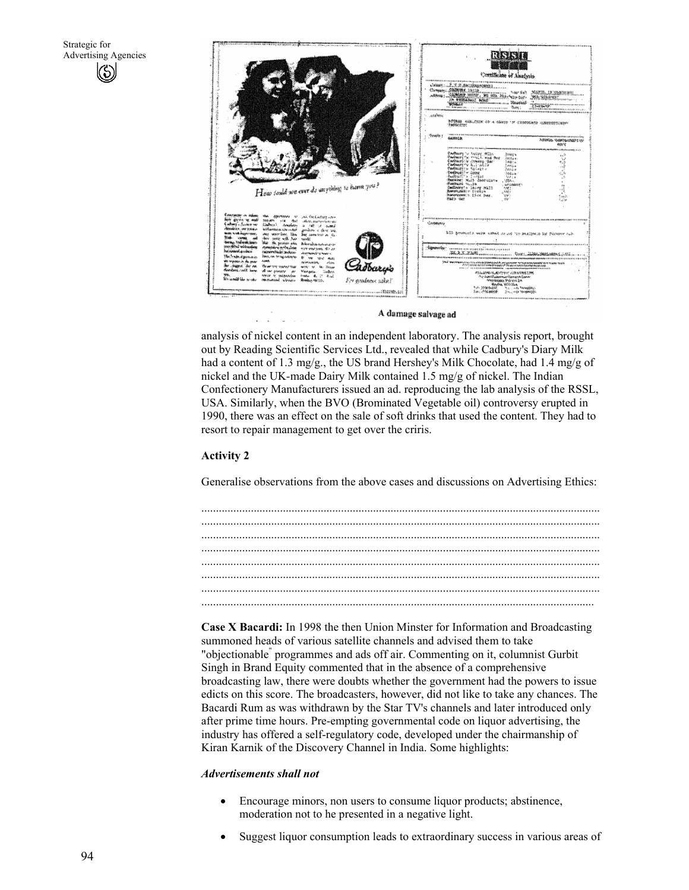

A damage salvage ad

analysis of nickel content in an independent laboratory. The analysis report, brought out by Reading Scientific Services Ltd., revealed that while Cadbury's Diary Milk had a content of 1.3 mg/g., the US brand Hershey's Milk Chocolate, had 1.4 mg/g of nickel and the UK-made Dairy Milk contained 1.5 mg/g of nickel. The Indian Confectionery Manufacturers issued an ad. reproducing the lab analysis of the RSSL, USA. Similarly, when the BVO (Brominated Vegetable oil) controversy erupted in 1990, there was an effect on the sale of soft drinks that used the content. They had to resort to repair management to get over the criris.

#### **Activity 2**

Generalise observations from the above cases and discussions on Advertising Ethics:



**Case X Bacardi:** In 1998 the then Union Minster for Information and Broadcasting summoned heads of various satellite channels and advised them to take "objectionable<sup>"</sup> programmes and ads off air. Commenting on it, columnist Gurbit Singh in Brand Equity commented that in the absence of a comprehensive broadcasting law, there were doubts whether the government had the powers to issue edicts on this score. The broadcasters, however, did not like to take any chances. The Bacardi Rum as was withdrawn by the Star TV's channels and later introduced only after prime time hours. Pre-empting governmental code on liquor advertising, the industry has offered a self-regulatory code, developed under the chairmanship of Kiran Karnik of the Discovery Channel in India. Some highlights:

#### *Advertisements shall not*

- Encourage minors, non users to consume liquor products; abstinence, moderation not to he presented in a negative light.
- Suggest liquor consumption leads to extraordinary success in various areas of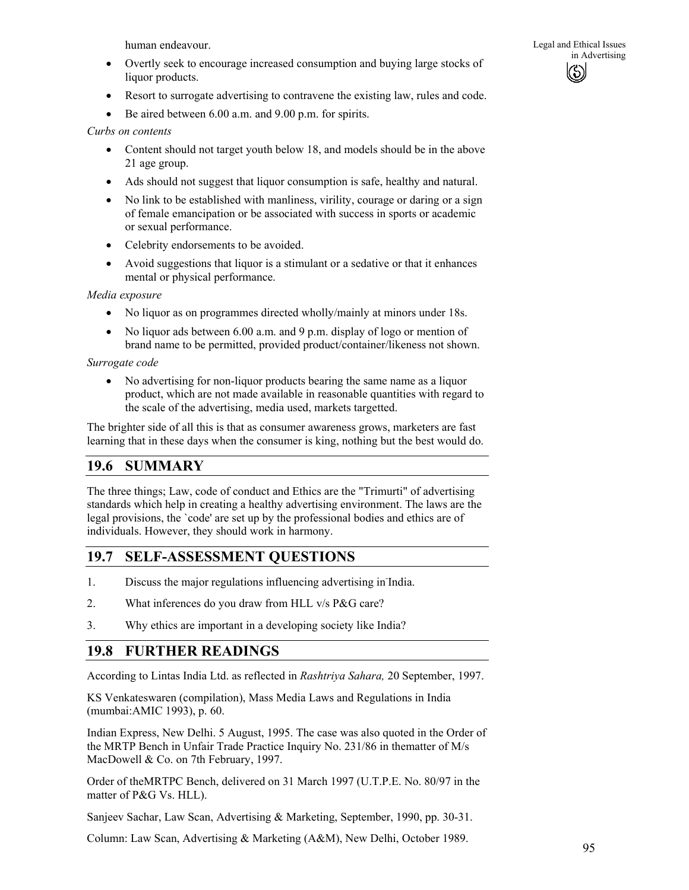human endeavour.

- Overtly seek to encourage increased consumption and buying large stocks of liquor products.
- Resort to surrogate advertising to contravene the existing law, rules and code.
- Be aired between 6.00 a.m. and 9.00 p.m. for spirits.

### *Curbs on contents*

- Content should not target youth below 18, and models should be in the above 21 age group.
- Ads should not suggest that liquor consumption is safe, healthy and natural.
- No link to be established with manliness, virility, courage or daring or a sign of female emancipation or be associated with success in sports or academic or sexual performance.
- Celebrity endorsements to be avoided.
- Avoid suggestions that liquor is a stimulant or a sedative or that it enhances mental or physical performance.

*Media exposure* 

- No liquor as on programmes directed wholly/mainly at minors under 18s.
- No liquor ads between 6.00 a.m. and 9 p.m. display of logo or mention of brand name to be permitted, provided product/container/likeness not shown.

### *Surrogate code*

• No advertising for non-liquor products bearing the same name as a liquor product, which are not made available in reasonable quantities with regard to the scale of the advertising, media used, markets targetted.

The brighter side of all this is that as consumer awareness grows, marketers are fast learning that in these days when the consumer is king, nothing but the best would do.

# **19.6 SUMMARY**

The three things; Law, code of conduct and Ethics are the "Trimurti" of advertising standards which help in creating a healthy advertising environment. The laws are the legal provisions, the `code' are set up by the professional bodies and ethics are of individuals. However, they should work in harmony.

# **19.7 SELF-ASSESSMENT QUESTIONS**

- 1. Discuss the major regulations influencing advertising in-India.
- 2. What inferences do you draw from HLL v/s P&G care?
- 3. Why ethics are important in a developing society like India?

# **19.8 FURTHER READINGS**

According to Lintas India Ltd. as reflected in *Rashtriya Sahara,* 20 September, 1997.

KS Venkateswaren (compilation), Mass Media Laws and Regulations in India (mumbai:AMIC 1993), p. 60.

Indian Express, New Delhi. 5 August, 1995. The case was also quoted in the Order of the MRTP Bench in Unfair Trade Practice Inquiry No. 231/86 in thematter of M/s MacDowell & Co. on 7th February, 1997.

Order of theMRTPC Bench, delivered on 31 March 1997 (U.T.P.E. No. 80/97 in the matter of P&G Vs. HLL).

Sanjeev Sachar, Law Scan, Advertising & Marketing, September, 1990, pp. 30-31.

Column: Law Scan, Advertising & Marketing (A&M), New Delhi, October 1989.

Legal and Ethical Issues in Advertising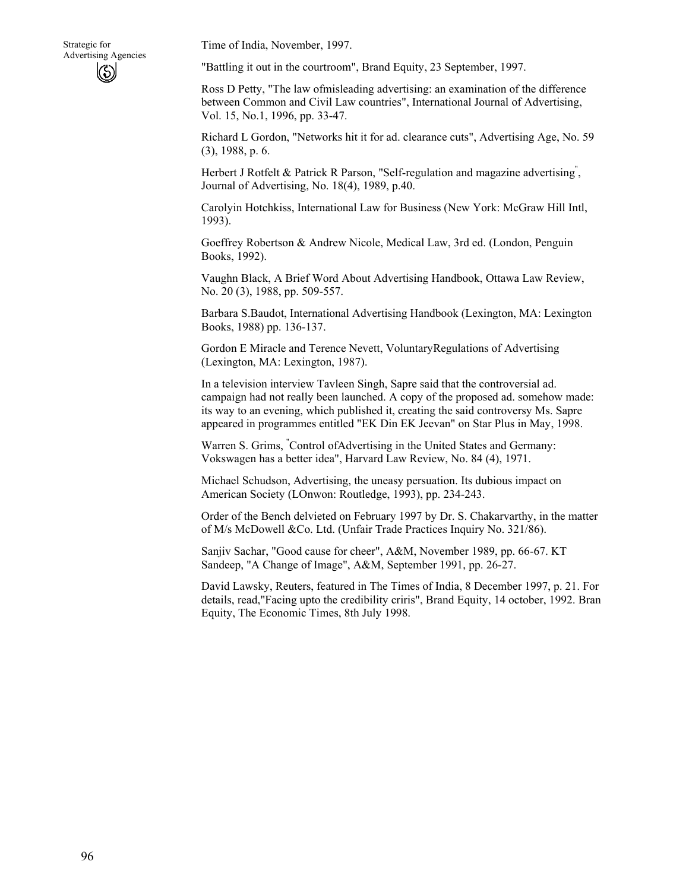Time of India, November, 1997.

"Battling it out in the courtroom", Brand Equity, 23 September, 1997.

Ross D Petty, "The law ofmisleading advertising: an examination of the difference between Common and Civil Law countries", International Journal of Advertising, Vol. 15, No.1, 1996, pp. 33-47.

Richard L Gordon, "Networks hit it for ad. clearance cuts", Advertising Age, No. 59 (3), 1988, p. 6.

Herbert J Rotfelt & Patrick R Parson, "Self-regulation and magazine advertising", Journal of Advertising, No. 18(4), 1989, p.40.

Carolyin Hotchkiss, International Law for Business (New York: McGraw Hill Intl, 1993).

Goeffrey Robertson & Andrew Nicole, Medical Law, 3rd ed. (London, Penguin Books, 1992).

Vaughn Black, A Brief Word About Advertising Handbook, Ottawa Law Review, No. 20 (3), 1988, pp. 509-557.

Barbara S.Baudot, International Advertising Handbook (Lexington, MA: Lexington Books, 1988) pp. 136-137.

Gordon E Miracle and Terence Nevett, VoluntaryRegulations of Advertising (Lexington, MA: Lexington, 1987).

In a television interview Tavleen Singh, Sapre said that the controversial ad. campaign had not really been launched. A copy of the proposed ad. somehow made: its way to an evening, which published it, creating the said controversy Ms. Sapre appeared in programmes entitled "EK Din EK Jeevan" on Star Plus in May, 1998.

Warren S. Grims, " Control ofAdvertising in the United States and Germany: Vokswagen has a better idea", Harvard Law Review, No. 84 (4), 1971.

Michael Schudson, Advertising, the uneasy persuation. Its dubious impact on American Society (LOnwon: Routledge, 1993), pp. 234-243.

Order of the Bench delvieted on February 1997 by Dr. S. Chakarvarthy, in the matter of M/s McDowell &Co. Ltd. (Unfair Trade Practices Inquiry No. 321/86).

Sanjiv Sachar, "Good cause for cheer", A&M, November 1989, pp. 66-67. KT Sandeep, "A Change of Image", A&M, September 1991, pp. 26-27.

David Lawsky, Reuters, featured in The Times of India, 8 December 1997, p. 21. For details, read,"Facing upto the credibility criris", Brand Equity, 14 october, 1992. Bran Equity, The Economic Times, 8th July 1998.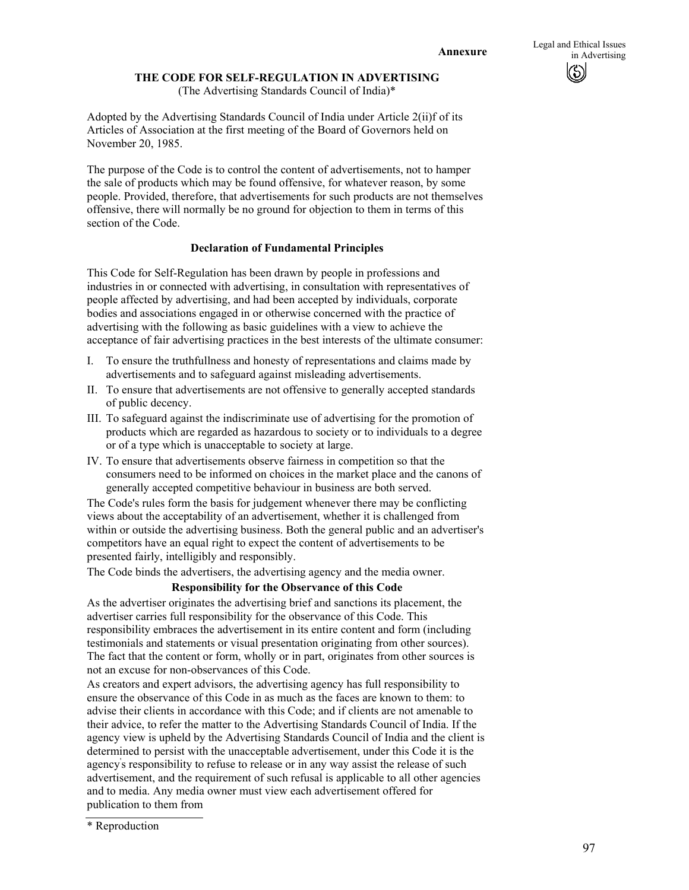### **THE CODE FOR SELF-REGULATION IN ADVERTISING**

(The Advertising Standards Council of India)\*

Adopted by the Advertising Standards Council of India under Article 2(ii)f of its Articles of Association at the first meeting of the Board of Governors held on November 20, 1985.

The purpose of the Code is to control the content of advertisements, not to hamper the sale of products which may be found offensive, for whatever reason, by some people. Provided, therefore, that advertisements for such products are not themselves offensive, there will normally be no ground for objection to them in terms of this section of the Code.

### **Declaration of Fundamental Principles**

This Code for Self-Regulation has been drawn by people in professions and industries in or connected with advertising, in consultation with representatives of people affected by advertising, and had been accepted by individuals, corporate bodies and associations engaged in or otherwise concerned with the practice of advertising with the following as basic guidelines with a view to achieve the acceptance of fair advertising practices in the best interests of the ultimate consumer:

- I. To ensure the truthfullness and honesty of representations and claims made by advertisements and to safeguard against misleading advertisements.
- II. To ensure that advertisements are not offensive to generally accepted standards of public decency.
- III. To safeguard against the indiscriminate use of advertising for the promotion of products which are regarded as hazardous to society or to individuals to a degree or of a type which is unacceptable to society at large.
- IV. To ensure that advertisements observe fairness in competition so that the consumers need to be informed on choices in the market place and the canons of generally accepted competitive behaviour in business are both served.

The Code's rules form the basis for judgement whenever there may be conflicting views about the acceptability of an advertisement, whether it is challenged from within or outside the advertising business. Both the general public and an advertiser's competitors have an equal right to expect the content of advertisements to be presented fairly, intelligibly and responsibly.

The Code binds the advertisers, the advertising agency and the media owner.

#### **Responsibility for the Observance of this Code**

As the advertiser originates the advertising brief and sanctions its placement, the advertiser carries full responsibility for the observance of this Code. This responsibility embraces the advertisement in its entire content and form (including testimonials and statements or visual presentation originating from other sources). The fact that the content or form, wholly or in part, originates from other sources is not an excuse for non-observances of this Code.

As creators and expert advisors, the advertising agency has full responsibility to ensure the observance of this Code in as much as the faces are known to them: to advise their clients in accordance with this Code; and if clients are not amenable to their advice, to refer the matter to the Advertising Standards Council of India. If the agency view is upheld by the Advertising Standards Council of India and the client is determined to persist with the unacceptable advertisement, under this Code it is the agency' s responsibility to refuse to release or in any way assist the release of such advertisement, and the requirement of such refusal is applicable to all other agencies and to media. Any media owner must view each advertisement offered for publication to them from

<sup>\*</sup> Reproduction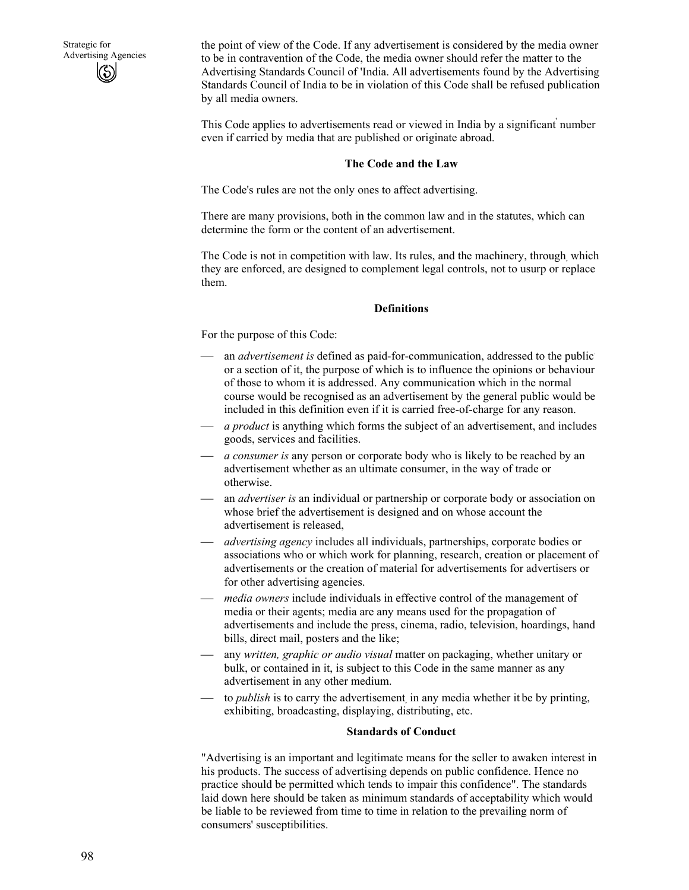the point of view of the Code. If any advertisement is considered by the media owner to be in contravention of the Code, the media owner should refer the matter to the Advertising Standards Council of 'India. All advertisements found by the Advertising Standards Council of India to be in violation of this Code shall be refused publication by all media owners.

This Code applies to advertisements read or viewed in India by a significant' number even if carried by media that are published or originate abroad.

#### **The Code and the Law**

The Code's rules are not the only ones to affect advertising.

There are many provisions, both in the common law and in the statutes, which can determine the form or the content of an advertisement.

The Code is not in competition with law. Its rules, and the machinery, through, which they are enforced, are designed to complement legal controls, not to usurp or replace them.

#### **Definitions**

For the purpose of this Code:

- an *advertisement is* defined as paid-for-communication, addressed to the public. or a section of it, the purpose of which is to influence the opinions or behaviour of those to whom it is addressed. Any communication which in the normal course would be recognised as an advertisement by the general public would be included in this definition even if it is carried free-of-charge for any reason.
- *a product* is anything which forms the subject of an advertisement, and includes goods, services and facilities.
- *a consumer is* any person or corporate body who is likely to be reached by an advertisement whether as an ultimate consumer, in the way of trade or otherwise.
- an *advertiser is* an individual or partnership or corporate body or association on whose brief the advertisement is designed and on whose account the advertisement is released,
- *advertising agency* includes all individuals, partnerships, corporate bodies or associations who or which work for planning, research, creation or placement of advertisements or the creation of material for advertisements for advertisers or for other advertising agencies.
- *media owners* include individuals in effective control of the management of media or their agents; media are any means used for the propagation of advertisements and include the press, cinema, radio, television, hoardings, hand bills, direct mail, posters and the like;
- any *written, graphic or audio visual* matter on packaging, whether unitary or bulk, or contained in it, is subject to this Code in the same manner as any advertisement in any other medium.
- to *publish* is to carry the advertisement in any media whether it be by printing, exhibiting, broadcasting, displaying, distributing, etc.

#### **Standards of Conduct**

"Advertising is an important and legitimate means for the seller to awaken interest in his products. The success of advertising depends on public confidence. Hence no practice should be permitted which tends to impair this confidence". The standards laid down here should be taken as minimum standards of acceptability which would be liable to be reviewed from time to time in relation to the prevailing norm of consumers' susceptibilities.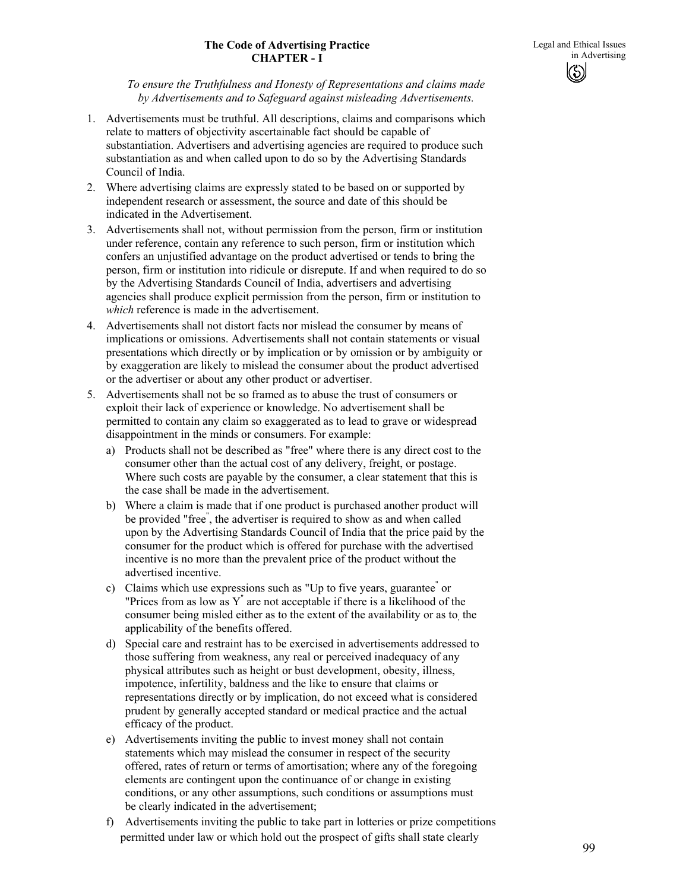### **The Code of Advertising Practice CHAPTER - I**

*To ensure the Truthfulness and Honesty of Representations and claims made by Advertisements and to Safeguard against misleading Advertisements.* 

- 1. Advertisements must be truthful. All descriptions, claims and comparisons which relate to matters of objectivity ascertainable fact should be capable of substantiation. Advertisers and advertising agencies are required to produce such substantiation as and when called upon to do so by the Advertising Standards Council of India.
- 2. Where advertising claims are expressly stated to be based on or supported by independent research or assessment, the source and date of this should be indicated in the Advertisement.
- 3. Advertisements shall not, without permission from the person, firm or institution under reference, contain any reference to such person, firm or institution which confers an unjustified advantage on the product advertised or tends to bring the person, firm or institution into ridicule or disrepute. If and when required to do so by the Advertising Standards Council of India, advertisers and advertising agencies shall produce explicit permission from the person, firm or institution to *which* reference is made in the advertisement.
- 4. Advertisements shall not distort facts nor mislead the consumer by means of implications or omissions. Advertisements shall not contain statements or visual presentations which directly or by implication or by omission or by ambiguity or by exaggeration are likely to mislead the consumer about the product advertised or the advertiser or about any other product or advertiser.
- 5. Advertisements shall not be so framed as to abuse the trust of consumers or exploit their lack of experience or knowledge. No advertisement shall be permitted to contain any claim so exaggerated as to lead to grave or widespread disappointment in the minds or consumers. For example:
	- a) Products shall not be described as "free" where there is any direct cost to the consumer other than the actual cost of any delivery, freight, or postage. Where such costs are payable by the consumer, a clear statement that this is the case shall be made in the advertisement.
	- b) Where a claim is made that if one product is purchased another product will be provided "free" , the advertiser is required to show as and when called upon by the Advertising Standards Council of India that the price paid by the consumer for the product which is offered for purchase with the advertised incentive is no more than the prevalent price of the product without the advertised incentive.
	- c) Claims which use expressions such as "Up to five years, guarantee" or "Prices from as low as  $Y$ " are not acceptable if there is a likelihood of the consumer being misled either as to the extent of the availability or as to the applicability of the benefits offered.
	- d) Special care and restraint has to be exercised in advertisements addressed to those suffering from weakness, any real or perceived inadequacy of any physical attributes such as height or bust development, obesity, illness, impotence, infertility, baldness and the like to ensure that claims or representations directly or by implication, do not exceed what is considered prudent by generally accepted standard or medical practice and the actual efficacy of the product.
	- e) Advertisements inviting the public to invest money shall not contain statements which may mislead the consumer in respect of the security offered, rates of return or terms of amortisation; where any of the foregoing elements are contingent upon the continuance of or change in existing conditions, or any other assumptions, such conditions or assumptions must be clearly indicated in the advertisement;
	- f) Advertisements inviting the public to take part in lotteries or prize competitions permitted under law or which hold out the prospect of gifts shall state clearly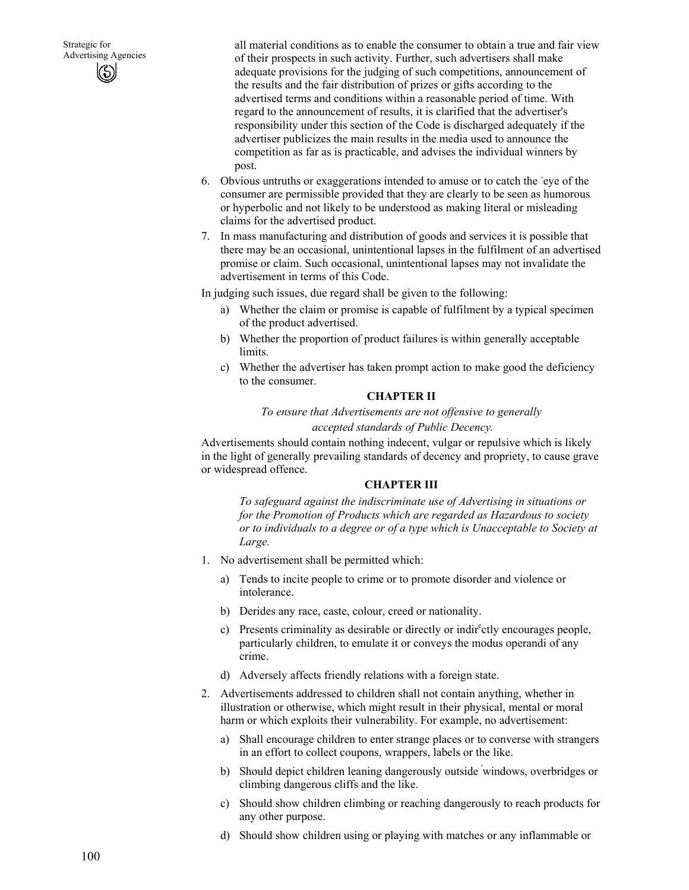all material conditions as to enable the consumer to obtain a true and fair view of their prospects in such activity. Further, such advertisers shall make adequate provisions for the judging of such competitions, announcement of the results and the fair distribution of prizes or gifts according to the advertised terms and conditions within a reasonable period of time. With regard to the announcement of results, it is clarified that the advertiser's responsibility under this section of the Code is discharged adequately if the advertiser publicizes the main results in the media used to announce the competition as far as is practicable, and advises the individual winners by post.

- 6. Obvious untruths or exaggerations intended to amuse or to catch the eye of the consumer are permissible provided that they are clearly to be seen as humorous or hyperbolic and not likely to be understood as making literal or misleading claims for the advertised product.
- 7. In mass manufacturing and distribution of goods and services it is possible that there may be an occasional, unintentional lapses in the fulfilment of an advertised promise or claim. Such occasional, unintentional lapses may not invalidate the advertisement in terms of this Code.

In judging such issues, due regard shall be given to the following:

- a) Whether the claim or promise is capable of fulfilment by a typical specimen of the product advertised.
- b) Whether the proportion of product failures is within generally acceptable limits.
- c) Whether the advertiser has taken prompt action to make good the deficiency to the consumer.

#### **CHAPTER II**

*To ensure that Advertisements are not offensive to generally* 

 *accepted standards of Public Decency.* 

Advertisements should contain nothing indecent, vulgar or repulsive which is likely in the light of generally prevailing standards of decency and propriety, to cause grave or widespread offence.

### **CHAPTER III**

*To safeguard against the indiscriminate use of Advertising in situations or for the Promotion of Products which are regarded as Hazardous to society or to individuals to a degree or of a type which is Unacceptable to Society at Large.* 

- 1. No advertisement shall be permitted which:
	- a) Tends to incite people to crime or to promote disorder and violence or intolerance.
	- b) Derides any race, caste, colour, creed or nationality.
	- c) Presents criminality as desirable or directly or indirectly encourages people, particularly children, to emulate it or conveys the modus operandi of any crime.
	- d) Adversely affects friendly relations with a foreign state.
- 2. Advertisements addressed to children shall not contain anything, whether in illustration or otherwise, which might result in their physical, mental or moral harm or which exploits their vulnerability. For example, no advertisement:
	- a) Shall encourage children to enter strange places or to converse with strangers in an effort to collect coupons, wrappers, labels or the like.
	- b) Should depict children leaning dangerously outside ' windows, overbridges or climbing dangerous cliffs and the like.
	- c) Should show children climbing or reaching dangerously to reach products for any other purpose.
	- d) Should show children using or playing with matches or any inflammable or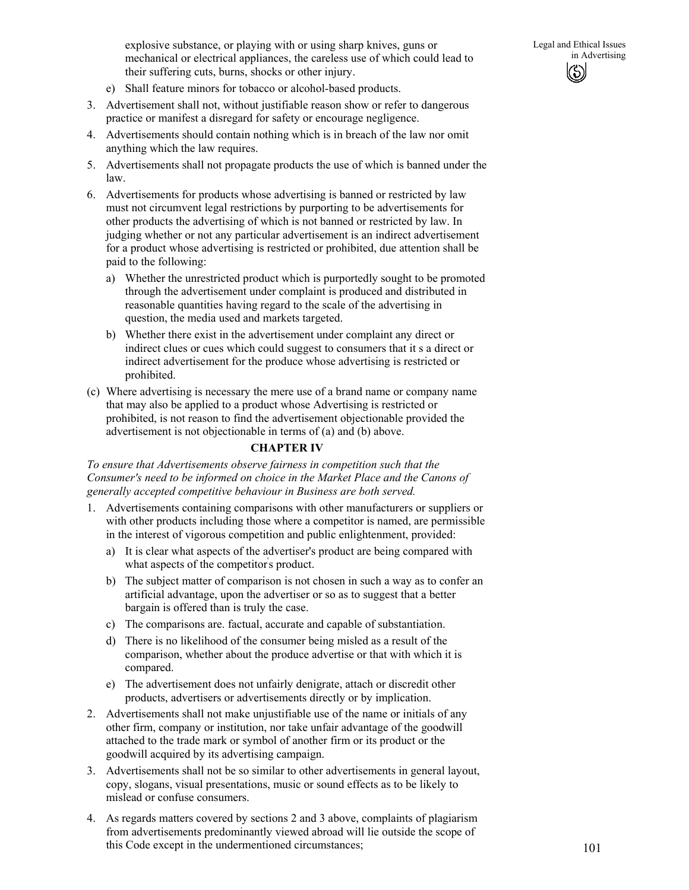- e) Shall feature minors for tobacco or alcohol-based products.
- 3. Advertisement shall not, without justifiable reason show or refer to dangerous practice or manifest a disregard for safety or encourage negligence.
- 4. Advertisements should contain nothing which is in breach of the law nor omit anything which the law requires.
- 5. Advertisements shall not propagate products the use of which is banned under the law.
- 6. Advertisements for products whose advertising is banned or restricted by law must not circumvent legal restrictions by purporting to be advertisements for other products the advertising of which is not banned or restricted by law. In judging whether or not any particular advertisement is an indirect advertisement for a product whose advertising is restricted or prohibited, due attention shall be paid to the following:
	- a) Whether the unrestricted product which is purportedly sought to be promoted through the advertisement under complaint is produced and distributed in reasonable quantities having regard to the scale of the advertising in question, the media used and markets targeted.
	- b) Whether there exist in the advertisement under complaint any direct or indirect clues or cues which could suggest to consumers that it s a direct or indirect advertisement for the produce whose advertising is restricted or prohibited.
- (c) Where advertising is necessary the mere use of a brand name or company name that may also be applied to a product whose Advertising is restricted or prohibited, is not reason to find the advertisement objectionable provided the advertisement is not objectionable in terms of (a) and (b) above.

### **CHAPTER IV**

*To ensure that Advertisements observe fairness in competition such that the Consumer's need to be informed on choice in the Market Place and the Canons of generally accepted competitive behaviour in Business are both served.* 

- 1. Advertisements containing comparisons with other manufacturers or suppliers or with other products including those where a competitor is named, are permissible in the interest of vigorous competition and public enlightenment, provided:
	- a) It is clear what aspects of the advertiser's product are being compared with what aspects of the competitor's product.
	- b) The subject matter of comparison is not chosen in such a way as to confer an artificial advantage, upon the advertiser or so as to suggest that a better bargain is offered than is truly the case.
	- c) The comparisons are. factual, accurate and capable of substantiation.
	- d) There is no likelihood of the consumer being misled as a result of the comparison, whether about the produce advertise or that with which it is compared.
	- e) The advertisement does not unfairly denigrate, attach or discredit other products, advertisers or advertisements directly or by implication.
- 2. Advertisements shall not make unjustifiable use of the name or initials of any other firm, company or institution, nor take unfair advantage of the goodwill attached to the trade mark or symbol of another firm or its product or the goodwill acquired by its advertising campaign.
- 3. Advertisements shall not be so similar to other advertisements in general layout, copy, slogans, visual presentations, music or sound effects as to be likely to mislead or confuse consumers.
- 4. As regards matters covered by sections 2 and 3 above, complaints of plagiarism from advertisements predominantly viewed abroad will lie outside the scope of this Code except in the undermentioned circumstances;